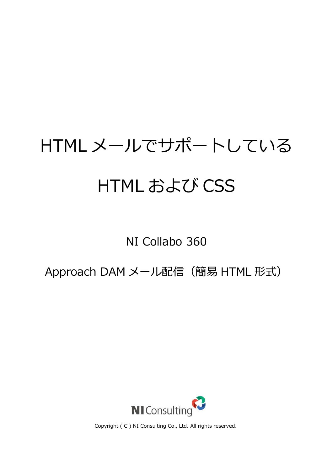# HTML メールでサポートしている HTML および CSS

## NI Collabo 360

Approach DAM メール配信 (簡易 HTML 形式)



Copyright ( C ) NI Consulting Co., Ltd. All rights reserved.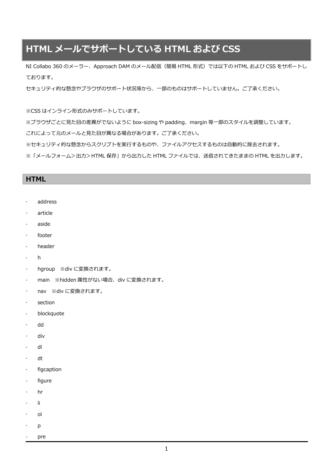## **HTML メールでサポートしている HTML および CSS**

NI Collabo 360 のメーラー、Approach DAM のメール配信(簡易 HTML 形式)では以下の HTML および CSS をサポートし ております。

セキュリティ的な懸念やブラウザのサポート状況等から、一部のものはサポートしていません。ご了承ください。

※CSS はインライン形式のみサポートしています。

※ブラウザごとに見た目の差異がでないように box-sizing や padding、margin 等一部のスタイルを調整しています。

これによって元のメールと見た目が異なる場合があります。ご了承ください。

※セキュリティ的な懸念からスクリプトを実行するものや、ファイルアクセスするものは自動的に除去されます。

※「メールフォーム>出力>HTML 保存」から出力した HTML ファイルでは、送信されてきたままの HTML を出力します。

#### **HTML**

- address
- article
- aside
- footer
- header
- h
- hgroup ※div に変換されます。
- main ※hidden 属性がない場合、div に変換されます。
- nav ※div に変換されます。
- section
- blockquote
- dd
- div
- dl
- dt
- $\cdot$  figcaption
- $\cdot$  figure
- hr
- li
- ol
- p
- pre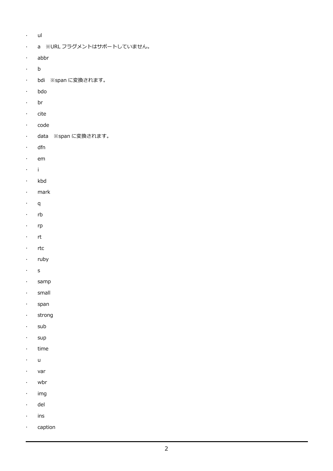- $\cdot$  ul
- a ※URL フラグメントはサポートしていません。
- abbr
- .  $\mathbf b$
- bdi ※span に変換されます。
- bdo
- . br
- $\cdot$  cite
- · code
- data ※span に変換されます。
- dfn
- $\cdot$  em
- i
- · kbd
- mark
- $\cdot$  q
- $\cdot$  rb
- $\cdot$  rp
- · rt
- $\cdot$  rtc
- · ruby
- s
- · samp
- small
- · span
- . strong
- $\cdot$  sub
- $\cdot$  sup
- $\cdot$  time
- $\cdot$  u
- var
- wbr
- $\cdot$  img
- del
- $\cdot$  ins
- · caption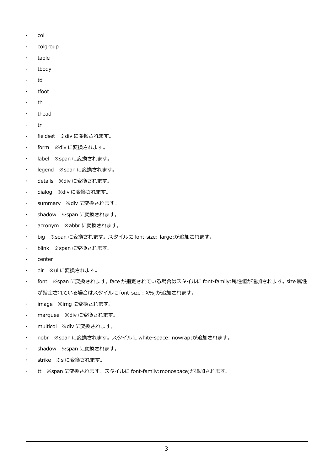- $\cdot$  col
- · colgroup
- · table
- tbody
- · td
- $\cdot$  tfoot
- th
- $\cdot$  thead
- $\cdot$  tr
- fieldset ※div に変換されます。
- form ※div に変換されます。
- label ※span に変換されます。
- legend ※span に変換されます。
- details ※div に変換されます。
- dialog ※div に変換されます。
- summary ※div に変換されます。
- shadow ※span に変換されます。
- acronym ※abbr に変換されます。
- big ※span に変換されます。スタイルに font-size: large;が追加されます。
- blink ※span に変換されます。
- center
- · dir ※ulに変換されます。
- font ※span に変換されます。face が指定されている場合はスタイルに font-family:属性値が追加されます。size 属性 が指定されている場合はスタイルに font-size:X%;が追加されます。
- image ※img に変換されます。
- marquee ※div に変換されます。
- · multicol ※div に変換されます。
- nobr ※span に変換されます。スタイルに white-space: nowrap;が追加されます。
- shadow ※span に変換されます。
- strike ※s に変換されます。
- tt ※span に変換されます。スタイルに font-family:monospace;が追加されます。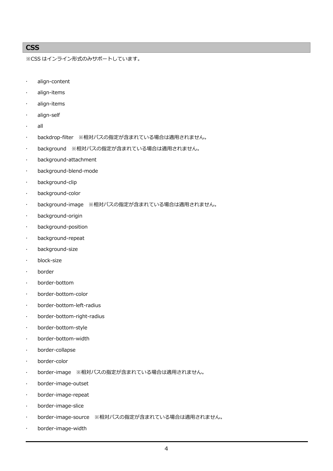### **CSS**

※CSS はインライン形式のみサポートしています。

- align-content
- align-items
- align-items
- align-self
- all
- backdrop-filter ※相対パスの指定が含まれている場合は適用されません。
- background ※相対パスの指定が含まれている場合は適用されません。
- background-attachment
- background-blend-mode
- background-clip
- background-color
- background-image ※相対パスの指定が含まれている場合は適用されません。
- background-origin
- background-position
- background-repeat
- background-size
- block-size
- border
- border-bottom
- border-bottom-color
- border-bottom-left-radius
- border-bottom-right-radius
- border-bottom-style
- border-bottom-width
- border-collapse
- border-color
- border-image ※相対パスの指定が含まれている場合は適用されません。
- border-image-outset
- border-image-repeat
- border-image-slice
- border-image-source ※相対パスの指定が含まれている場合は適用されません。
- border-image-width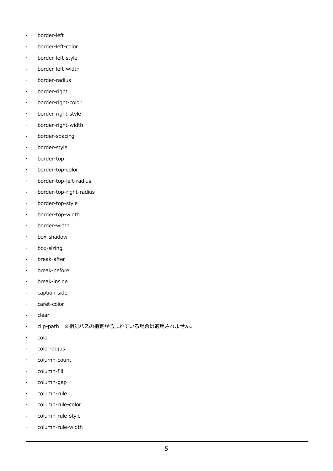- border-left
- border-left-color
- border-left-style
- border-left-width
- border-radius
- border-right
- border-right-color
- border-right-style
- border-right-width
- border-spacing
- border-style
- border-top
- border-top-color
- border-top-left-radius
- border-top-right-radius
- border-top-style
- border-top-width
- border-width
- box-shadow
- box-sizing
- break-after
- break-before
- break-inside
- caption-side
- · caret-color
- $\cdot$  clear
- clip-path ※相対パスの指定が含まれている場合は適用されません。
- color
- $\cdot$  color-adjus
- column-count
- column-fill
- $\cdot$  column-gap
- · column-rule
- column-rule-color
- column-rule-style
- column-rule-width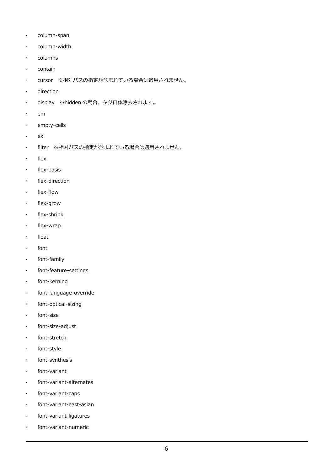- · column-span
- · column-width
- · columns
- contain
- cursor ※相対パスの指定が含まれている場合は適用されません。
- direction
- display ※hidden の場合、タグ自体除去されます。
- $\cdot$  em
- · empty-cells
- ex
- filter ※相対パスの指定が含まれている場合は適用されません。
- $\cdot$  flex
- flex-basis
- $\cdot$  flex-direction
- · flex-flow
- flex-grow
- $\cdot$  flex-shrink
- flex-wrap
- $\cdot$  float
- · font
- font-family
- font-feature-settings
- font-kerning
- font-language-override
- font-optical-sizing
- font-size
- font-size-adjust
- · font-stretch
- font-style
- font-synthesis
- font-variant
- font-variant-alternates
- font-variant-caps
- font-variant-east-asian
- font-variant-ligatures
- font-variant-numeric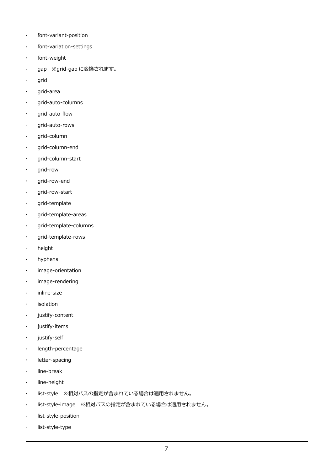- font-variant-position
- font-variation-settings
- font-weight
- gap ※grid-gap に変換されます。
- grid
- grid-area
- grid-auto-columns
- grid-auto-flow
- grid-auto-rows
- grid-column
- grid-column-end
- grid-column-start
- grid-row
- grid-row-end
- grid-row-start
- · grid-template
- grid-template-areas
- grid-template-columns
- · grid-template-rows
- . height
- hyphens
- image-orientation
- image-rendering
- · inline-size
- isolation
- justify-content
- justify-items
- justify-self
- length-percentage
- letter-spacing
- line-break
- **·** line-height
- list-style ※相対パスの指定が含まれている場合は適用されません。
- list-style-image ※相対パスの指定が含まれている場合は適用されません。
- list-style-position
- list-style-type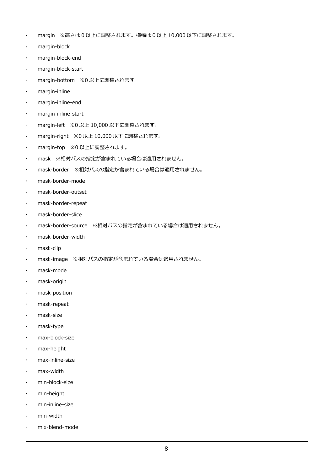- margin ※高さは 0 以上に調整されます。横幅は 0 以上 10,000 以下に調整されます。
- margin-block
- margin-block-end
- margin-block-start
- margin-bottom ※0 以上に調整されます。
- margin-inline
- margin-inline-end
- margin-inline-start
- margin-left ※0 以上 10,000 以下に調整されます。
- margin-right ※0 以上 10,000 以下に調整されます。
- · margin-top ※0 以上に調整されます。
- mask ※相対パスの指定が含まれている場合は適用されません。
- mask-border ※相対パスの指定が含まれている場合は適用されません。
- mask-border-mode
- mask-border-outset
- mask-border-repeat
- mask-border-slice
- mask-border-source ※相対パスの指定が含まれている場合は適用されません。
- mask-border-width
- mask-clip
- mask-image ※相対パスの指定が含まれている場合は適用されません。
- mask-mode
- mask-origin
- mask-position
- mask-repeat
- mask-size
- mask-type
- max-block-size
- max-height
- max-inline-size
- max-width
- min-block-size
- min-height
- min-inline-size
- min-width
- mix-blend-mode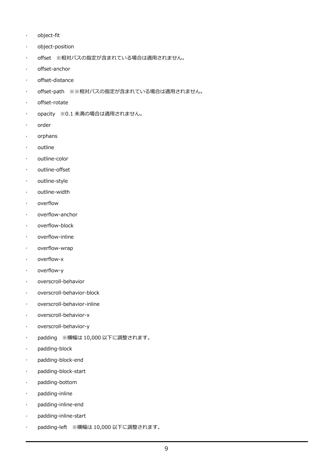- object-fit
- object-position
- offset ※相対パスの指定が含まれている場合は適用されません。
- offset-anchor
- offset-distance
- offset-path ※※相対パスの指定が含まれている場合は適用されません。
- offset-rotate
- opacity ※0.1 未満の場合は適用されません。
- order
- orphans
- outline
- outline-color
- outline-offset
- outline-style
- · outline-width
- overflow
- overflow-anchor
- overflow-block
- overflow-inline
- overflow-wrap
- overflow-x
- overflow-y
- overscroll-behavior
- overscroll-behavior-block
- overscroll-behavior-inline
- overscroll-behavior-x
- overscroll-behavior-y
- padding ※横幅は 10,000 以下に調整されます。
- padding-block
- padding-block-end
- padding-block-start
- padding-bottom
- padding-inline
- padding-inline-end
- padding-inline-start
- padding-left ※横幅は 10,000 以下に調整されます。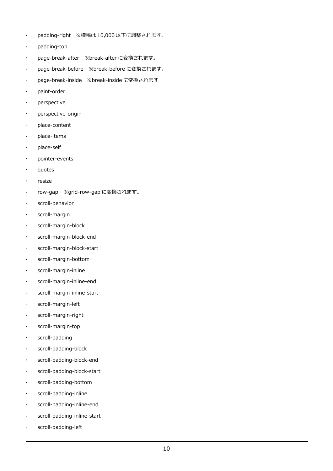- padding-right ※横幅は 10,000 以下に調整されます。
- padding-top
- page-break-after ※break-after に変換されます。
- page-break-before ※break-before に変換されます。
- page-break-inside ※break-inside に変換されます。
- paint-order
- perspective
- perspective-origin
- place-content
- · place-items
- place-self
- pointer-events
- quotes
- resize
- row-gap ※grid-row-gap に変換されます。
- scroll-behavior
- scroll-margin
- scroll-margin-block
- scroll-margin-block-end
- scroll-margin-block-start
- scroll-margin-bottom
- scroll-margin-inline
- scroll-margin-inline-end
- scroll-margin-inline-start
- scroll-margin-left
- scroll-margin-right
- scroll-margin-top
- scroll-padding
- scroll-padding-block
- scroll-padding-block-end
- scroll-padding-block-start
- scroll-padding-bottom
- scroll-padding-inline
- scroll-padding-inline-end
- scroll-padding-inline-start
- scroll-padding-left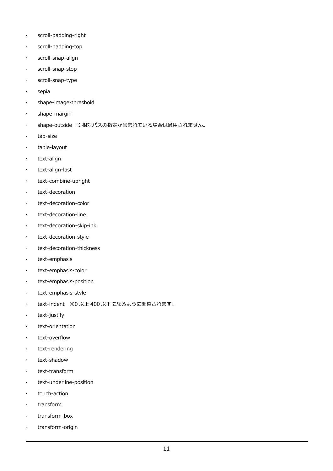- scroll-padding-right
- scroll-padding-top
- scroll-snap-align
- scroll-snap-stop
- scroll-snap-type
- · sepia
- shape-image-threshold
- shape-margin
- shape-outside ※相対パスの指定が含まれている場合は適用されません。
- . tab-size
- · table-layout
- · text-align
- text-align-last
- text-combine-upright
- · text-decoration
- text-decoration-color
- text-decoration-line
- text-decoration-skip-ink
- text-decoration-style
- text-decoration-thickness
- text-emphasis
- · text-emphasis-color
- text-emphasis-position
- · text-emphasis-style
- text-indent ※0 以上 400 以下になるように調整されます。
- · text-justify
- · text-orientation
- text-overflow
- · text-rendering
- text-shadow
- text-transform
- text-underline-position
- touch-action
- transform
- transform-box
- transform-origin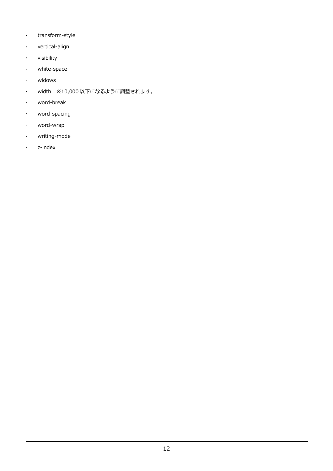- · transform-style
- vertical-align
- visibility
- white-space
- widows
- width ※10,000 以下になるように調整されます。
- word-break
- word-spacing
- word-wrap
- writing-mode
- z-index